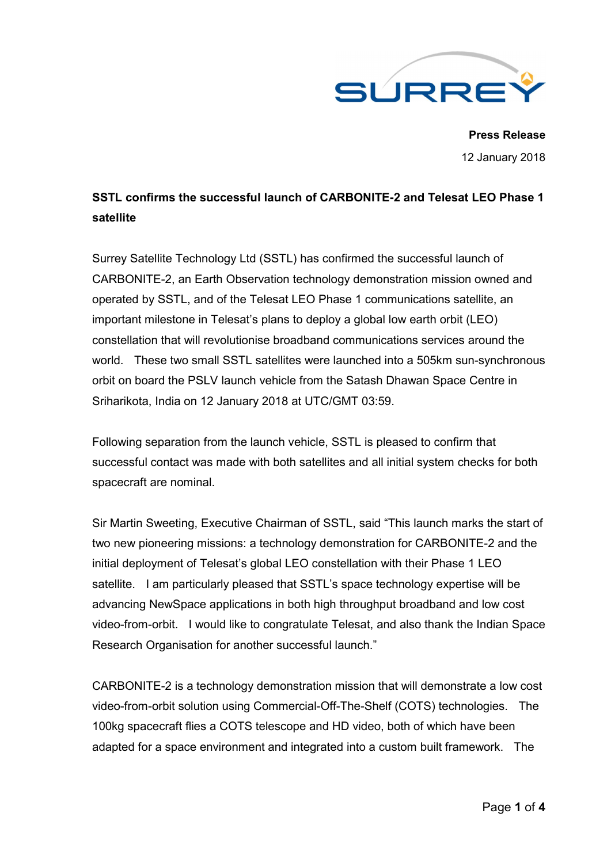

**Press Release** 12 January 2018

# **SSTL confirms the successful launch of CARBONITE-2 and Telesat LEO Phase 1 satellite**

Surrey Satellite Technology Ltd (SSTL) has confirmed the successful launch of CARBONITE-2, an Earth Observation technology demonstration mission owned and operated by SSTL, and of the Telesat LEO Phase 1 communications satellite, an important milestone in Telesat's plans to deploy a global low earth orbit (LEO) constellation that will revolutionise broadband communications services around the world. These two small SSTL satellites were launched into a 505km sun-synchronous orbit on board the PSLV launch vehicle from the Satash Dhawan Space Centre in Sriharikota, India on 12 January 2018 at UTC/GMT 03:59.

Following separation from the launch vehicle, SSTL is pleased to confirm that successful contact was made with both satellites and all initial system checks for both spacecraft are nominal.

Sir Martin Sweeting, Executive Chairman of SSTL, said "This launch marks the start of two new pioneering missions: a technology demonstration for CARBONITE-2 and the initial deployment of Telesat's global LEO constellation with their Phase 1 LEO satellite. I am particularly pleased that SSTL's space technology expertise will be advancing NewSpace applications in both high throughput broadband and low cost video-from-orbit. I would like to congratulate Telesat, and also thank the Indian Space Research Organisation for another successful launch."

CARBONITE-2 is a technology demonstration mission that will demonstrate a low cost video-from-orbit solution using Commercial-Off-The-Shelf (COTS) technologies. The 100kg spacecraft flies a COTS telescope and HD video, both of which have been adapted for a space environment and integrated into a custom built framework. The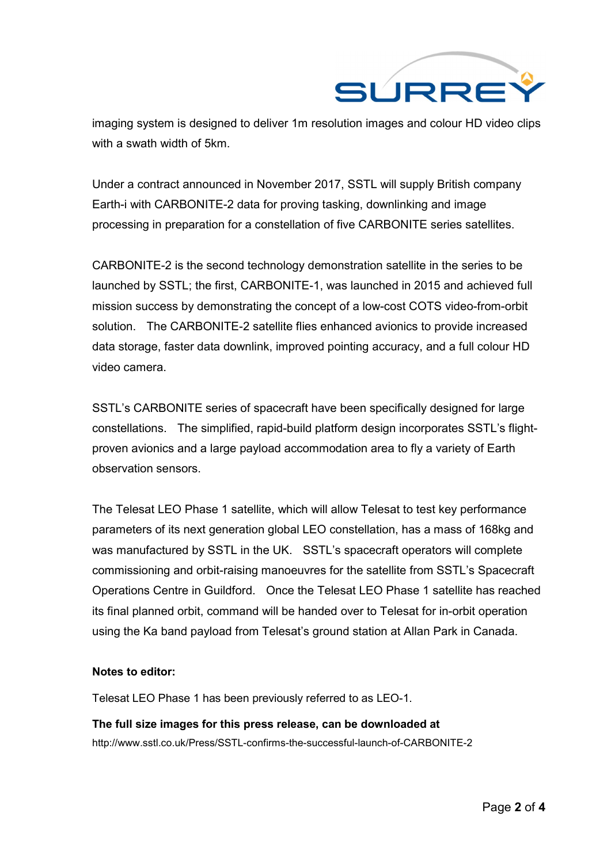

imaging system is designed to deliver 1m resolution images and colour HD video clips with a swath width of 5km.

Under a contract announced in November 2017, SSTL will supply British company Earth-i with CARBONITE-2 data for proving tasking, downlinking and image processing in preparation for a constellation of five CARBONITE series satellites.

CARBONITE-2 is the second technology demonstration satellite in the series to be launched by SSTL; the first, CARBONITE-1, was launched in 2015 and achieved full mission success by demonstrating the concept of a low-cost COTS video-from-orbit solution. The CARBONITE-2 satellite flies enhanced avionics to provide increased data storage, faster data downlink, improved pointing accuracy, and a full colour HD video camera.

SSTL's CARBONITE series of spacecraft have been specifically designed for large constellations. The simplified, rapid-build platform design incorporates SSTL's flightproven avionics and a large payload accommodation area to fly a variety of Earth observation sensors.

The Telesat LEO Phase 1 satellite, which will allow Telesat to test key performance parameters of its next generation global LEO constellation, has a mass of 168kg and was manufactured by SSTL in the UK. SSTL's spacecraft operators will complete commissioning and orbit-raising manoeuvres for the satellite from SSTL's Spacecraft Operations Centre in Guildford. Once the Telesat LEO Phase 1 satellite has reached its final planned orbit, command will be handed over to Telesat for in-orbit operation using the Ka band payload from Telesat's ground station at Allan Park in Canada.

#### **Notes to editor:**

Telesat LEO Phase 1 has been previously referred to as LEO-1.

## **The full size images for this press release, can be downloaded at** http://www.sstl.co.uk/Press/SSTL-confirms-the-successful-launch-of-CARBONITE-2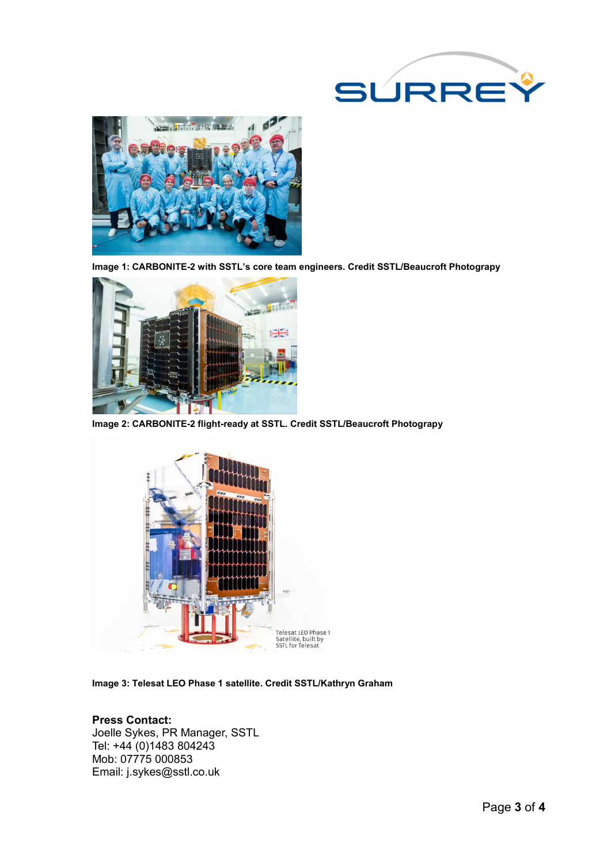



**Image 1: CARBONITE-2 with SSTL's core team engineers. Credit SSTL/Beaucroft Photograpy**



**Image 2: CARBONITE-2 flight-ready at SSTL. Credit SSTL/Beaucroft Photograpy**



**Image 3: Telesat LEO Phase 1 satellite. Credit SSTL/Kathryn Graham**

#### **Press Contact:** Joelle Sykes, PR Manager, SSTL Tel: +44 (0)1483 804243 Mob: 07775 000853 Email: j.sykes@sstl.co.uk